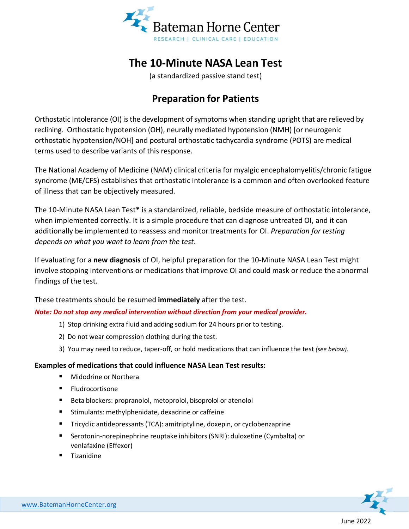

# **The 10-Minute NASA Lean Test**

(a standardized passive stand test)

## **Preparation for Patients**

Orthostatic Intolerance (OI) is the development of symptoms when standing upright that are relieved by reclining. Orthostatic hypotension (OH), neurally mediated hypotension (NMH) [or neurogenic orthostatic hypotension/NOH] and postural orthostatic tachycardia syndrome (POTS) are medical terms used to describe variants of this response.

The National Academy of Medicine (NAM) clinical criteria for myalgic encephalomyelitis/chronic fatigue syndrome (ME/CFS) establishes that orthostatic intolerance is a common and often overlooked feature of illness that can be objectively measured.

The 10-Minute NASA Lean Test**\*** is a standardized, reliable, bedside measure of orthostatic intolerance, when implemented correctly. It is a simple procedure that can diagnose untreated OI, and it can additionally be implemented to reassess and monitor treatments for OI. *Preparation for testing depends on what you want to learn from the test*.

If evaluating for a **new diagnosis** of OI, helpful preparation for the 10-Minute NASA Lean Test might involve stopping interventions or medications that improve OI and could mask or reduce the abnormal findings of the test.

These treatments should be resumed **immediately** after the test.

#### *Note: Do not stop any medical intervention without direction from your medical provider.*

- 1) Stop drinking extra fluid and adding sodium for 24 hours prior to testing.
- 2) Do not wear compression clothing during the test.
- 3) You may need to reduce, taper-off, or hold medications that can influence the test *(see below).*

#### **Examples of medications that could influence NASA Lean Test results:**

- Midodrine or Northera
- **Fludrocortisone**
- Beta blockers: propranolol, metoprolol, bisoprolol or atenolol
- Stimulants: methylphenidate, dexadrine or caffeine
- Tricyclic antidepressants (TCA): amitriptyline, doxepin, or cyclobenzaprine
- Serotonin-norepinephrine reuptake inhibitors (SNRI): duloxetine (Cymbalta) or venlafaxine (Effexor)
- **Tizanidine**

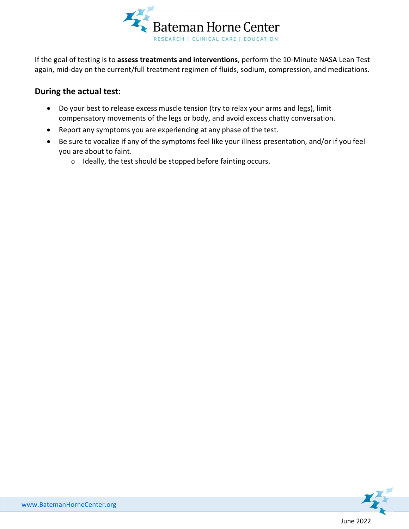

If the goal of testing is to **assess treatments and interventions**, perform the 10-Minute NASA Lean Test again, mid-day on the current/full treatment regimen of fluids, sodium, compression, and medications.

### **During the actual test:**

- Do your best to release excess muscle tension (try to relax your arms and legs), limit compensatory movements of the legs or body, and avoid excess chatty conversation.
- Report any symptoms you are experiencing at any phase of the test.
- Be sure to vocalize if any of the symptoms feel like your illness presentation, and/or if you feel you are about to faint.
	- o Ideally, the test should be stopped before fainting occurs.

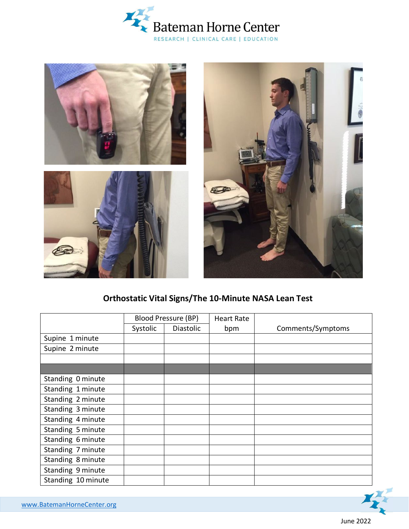





## **Orthostatic Vital Signs/The 10-Minute NASA Lean Test**

|                    | <b>Blood Pressure (BP)</b> |                  | <b>Heart Rate</b> |                   |
|--------------------|----------------------------|------------------|-------------------|-------------------|
|                    | Systolic                   | <b>Diastolic</b> | bpm               | Comments/Symptoms |
| Supine 1 minute    |                            |                  |                   |                   |
| Supine 2 minute    |                            |                  |                   |                   |
|                    |                            |                  |                   |                   |
|                    |                            |                  |                   |                   |
| Standing 0 minute  |                            |                  |                   |                   |
| Standing 1 minute  |                            |                  |                   |                   |
| Standing 2 minute  |                            |                  |                   |                   |
| Standing 3 minute  |                            |                  |                   |                   |
| Standing 4 minute  |                            |                  |                   |                   |
| Standing 5 minute  |                            |                  |                   |                   |
| Standing 6 minute  |                            |                  |                   |                   |
| Standing 7 minute  |                            |                  |                   |                   |
| Standing 8 minute  |                            |                  |                   |                   |
| Standing 9 minute  |                            |                  |                   |                   |
| Standing 10 minute |                            |                  |                   |                   |